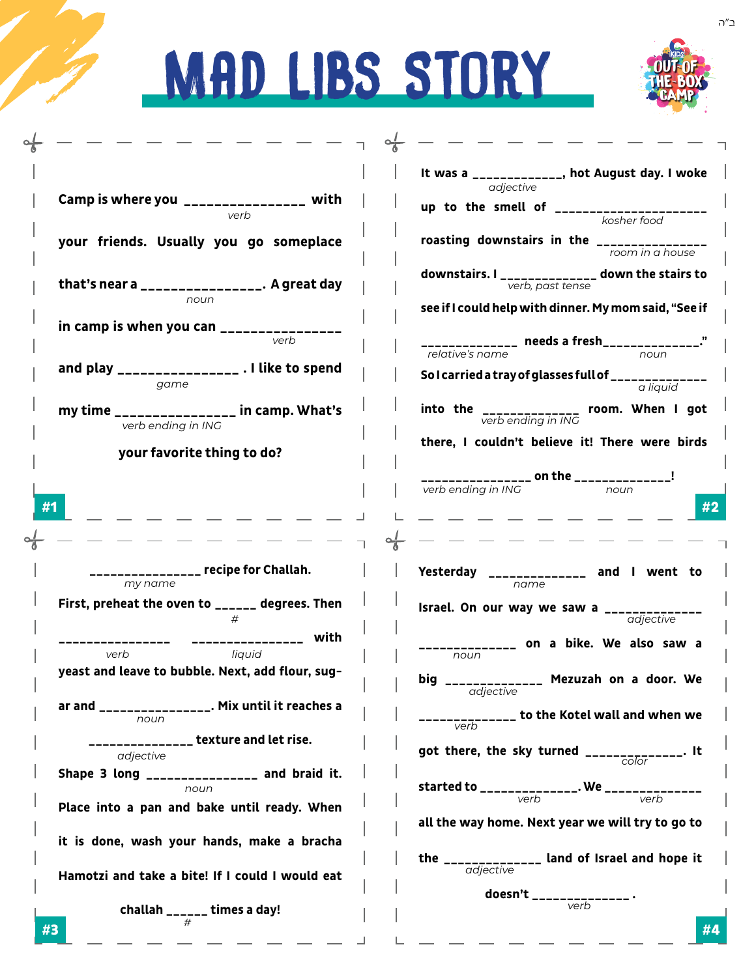ö



|                                                                                                                                                                                                                                                                                              | It was a _____________, hot August day. I woke<br>adjective         |
|----------------------------------------------------------------------------------------------------------------------------------------------------------------------------------------------------------------------------------------------------------------------------------------------|---------------------------------------------------------------------|
| Camp is where you $\frac{1}{2}$ = $\frac{1}{2}$ = $\frac{1}{2}$ = $\frac{1}{2}$ with                                                                                                                                                                                                         | up to the smell of _____________________                            |
| verb                                                                                                                                                                                                                                                                                         | kosher food                                                         |
| your friends. Usually you go someplace                                                                                                                                                                                                                                                       |                                                                     |
|                                                                                                                                                                                                                                                                                              |                                                                     |
| that's near a $\sqrt{2}$ = $\sqrt{2}$ = $\sqrt{2}$ = $\sqrt{2}$ = $\sqrt{2}$ = $\sqrt{2}$ = $\sqrt{2}$ = $\sqrt{2}$ = $\sqrt{2}$ = $\sqrt{2}$ = $\sqrt{2}$ = $\sqrt{2}$ = $\sqrt{2}$ = $\sqrt{2}$ = $\sqrt{2}$ = $\sqrt{2}$ = $\sqrt{2}$ = $\sqrt{2}$ = $\sqrt{2}$ = $\sqrt{2}$ = $\sqrt{2}$ | downstairs. I ______________ down the stairs to<br>Verb, past tense |
| noun                                                                                                                                                                                                                                                                                         |                                                                     |
|                                                                                                                                                                                                                                                                                              | see if I could help with dinner. My mom said, "See if               |
| in camp is when you can _______________<br>verb                                                                                                                                                                                                                                              |                                                                     |
|                                                                                                                                                                                                                                                                                              |                                                                     |
| and play _____________________ . I like to spend                                                                                                                                                                                                                                             |                                                                     |
| game                                                                                                                                                                                                                                                                                         |                                                                     |
| my time $\frac{1}{2}$ = $\frac{1}{2}$ = $\frac{1}{2}$ = $\frac{1}{2}$ = $\frac{1}{2}$ = $\frac{1}{2}$ in camp. What's                                                                                                                                                                        | into the _____________ room. When I got<br>verb ending in ING       |
| verb ending in ING                                                                                                                                                                                                                                                                           |                                                                     |
| your favorite thing to do?                                                                                                                                                                                                                                                                   | there, I couldn't believe it! There were birds                      |
|                                                                                                                                                                                                                                                                                              |                                                                     |
|                                                                                                                                                                                                                                                                                              | verb ending in ING<br>noun                                          |
|                                                                                                                                                                                                                                                                                              |                                                                     |
|                                                                                                                                                                                                                                                                                              |                                                                     |
| - - - - - - - - -                                                                                                                                                                                                                                                                            |                                                                     |
|                                                                                                                                                                                                                                                                                              |                                                                     |
| ________________ recipe for Challah.<br>my name                                                                                                                                                                                                                                              | Yesterday _____________ and I went to<br>name                       |
|                                                                                                                                                                                                                                                                                              |                                                                     |
| First, preheat the oven to ______ degrees. Then                                                                                                                                                                                                                                              | <b>Israel. On our way we saw a</b> $\frac{1}{\text{adjective}}$     |
| ---------------- with<br>----------                                                                                                                                                                                                                                                          |                                                                     |
| verb<br><b>Example 2</b> <i>iguid</i>                                                                                                                                                                                                                                                        | _____________ on a bike. We also saw a<br>noun                      |
| yeast and leave to bubble. Next, add flour, sug-                                                                                                                                                                                                                                             |                                                                     |
|                                                                                                                                                                                                                                                                                              | big ______________ Mezuzah on a door. We<br>adjective               |
| __. Mix until it reaches a<br>ar and                                                                                                                                                                                                                                                         | ________ to the Kotel wall and when we                              |
| noun                                                                                                                                                                                                                                                                                         | $\overline{verb}$                                                   |
| $\frac{1}{1}$ = $\frac{1}{1}$ texture and let rise.                                                                                                                                                                                                                                          | got there, the sky turned ______________. It                        |
| adjective                                                                                                                                                                                                                                                                                    |                                                                     |
| Shape 3 long ________________ and braid it.<br>noun                                                                                                                                                                                                                                          |                                                                     |
| Place into a pan and bake until ready. When                                                                                                                                                                                                                                                  |                                                                     |
|                                                                                                                                                                                                                                                                                              | all the way home. Next year we will try to go to                    |
| it is done, wash your hands, make a bracha                                                                                                                                                                                                                                                   |                                                                     |
|                                                                                                                                                                                                                                                                                              | the $\frac{1}{\text{adjective}}$ and of Israel and hope it          |
| Hamotzi and take a bite! If I could I would eat                                                                                                                                                                                                                                              |                                                                     |
|                                                                                                                                                                                                                                                                                              | doesn't _______________ .                                           |
| challah ______ times a day!                                                                                                                                                                                                                                                                  |                                                                     |
| #3                                                                                                                                                                                                                                                                                           |                                                                     |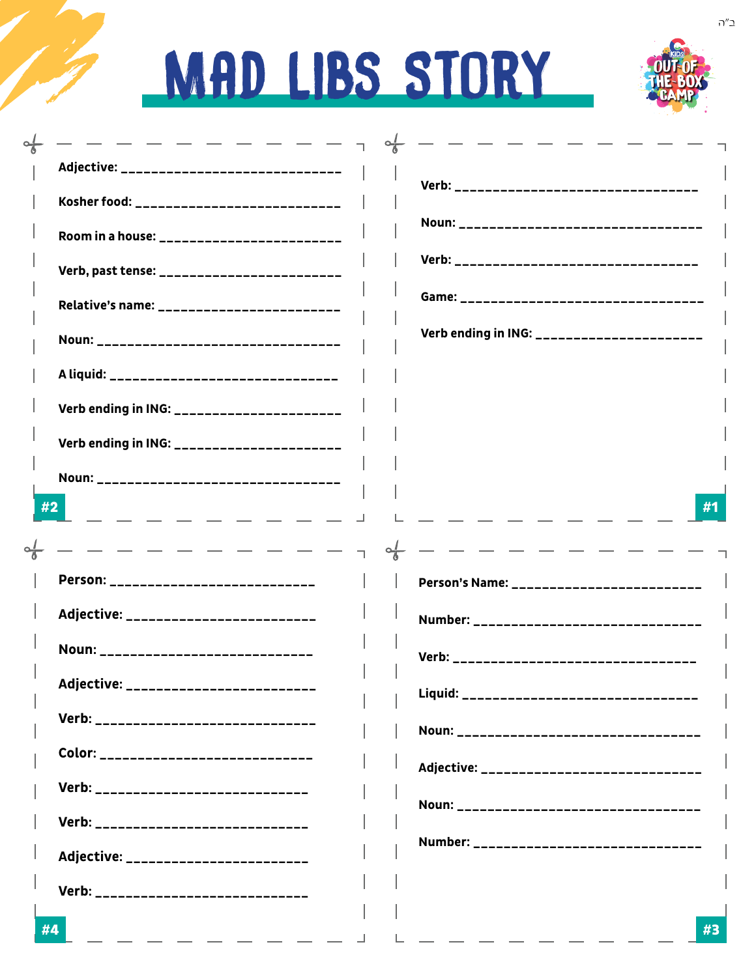| . <u>.</u> .                                  |  |                                 |
|-----------------------------------------------|--|---------------------------------|
| Adjective: _______________________________    |  | Verb: ______________________    |
| Kosher food: _____________________________    |  |                                 |
| Room in a house: _________________________    |  | Noun: _____________________     |
| Verb, past tense: ___________________________ |  | Verb: ______________________    |
| Relative's name: _________________________    |  | Game: ______________________    |
| Noun: ___________________________________     |  | Verb ending in ING: ___________ |
| A liquid: _________________________________   |  |                                 |
| Verb ending in ING: ______________________    |  |                                 |
| Verb ending in ING: ______________________    |  |                                 |
| Noun: ___________________________________     |  |                                 |
| $\frac{\#2}{\#2}$<br>_ _ _ _ _ _ _            |  |                                 |
| . <u>.</u> .                                  |  |                                 |
| Person: _____________________________         |  | Person's Name: ______________   |
| Adjective: __________________________         |  | Number: ____________________    |
| Noun: _____________________________           |  | Verb: ______________________    |
| Adjective: __________________________         |  | Liquid: _____________________   |
| Verb: _______________________________         |  | Noun: ______________________    |
| Color: _____________________________          |  | Adjective: ___________________  |
| Verb: _____________________________           |  |                                 |
|                                               |  | Noun: ______________________    |
| Verb: _____________________________           |  | Number: ____________________    |
| Adjective: _________________________          |  |                                 |

 $#1$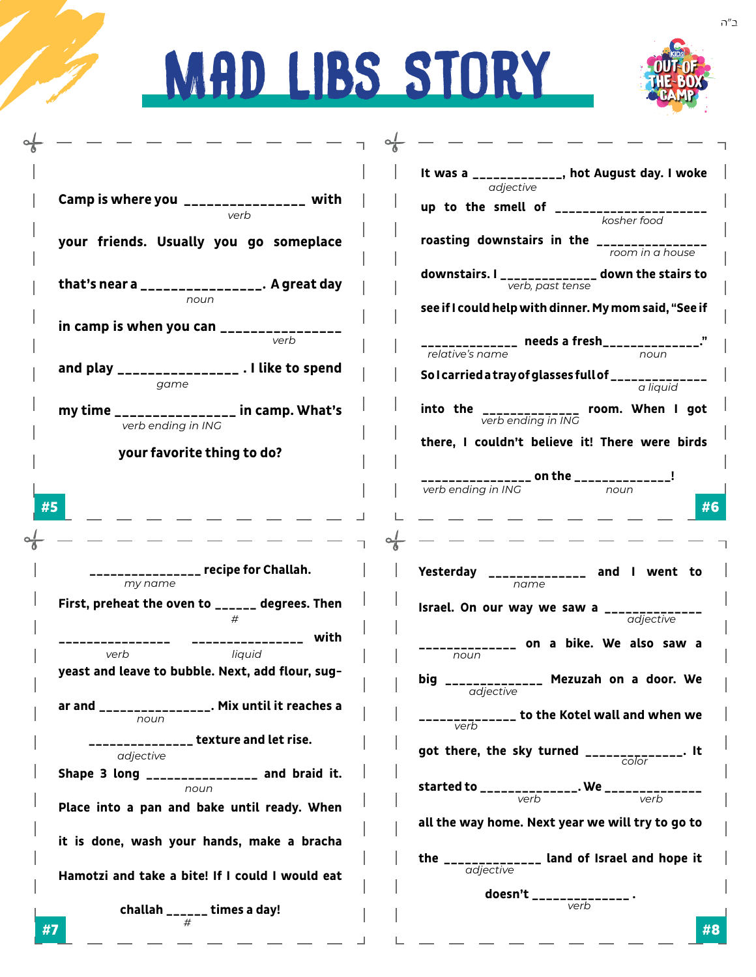

|                                                                                                                                     | It was a _____________, hot August day. I woke<br>adjective         |
|-------------------------------------------------------------------------------------------------------------------------------------|---------------------------------------------------------------------|
| Camp is where you $\frac{1}{2}$ = $\frac{1}{2}$ = $\frac{1}{2}$ = $\frac{1}{2}$ = with                                              | up to the smell of _____________________                            |
| verb                                                                                                                                | kosher food                                                         |
| your friends. Usually you go someplace                                                                                              | roasting downstairs in the _________                                |
|                                                                                                                                     | room in a house                                                     |
| that's near a $\frac{1}{2}$ = $\frac{1}{2}$ = $\frac{1}{2}$ = $\frac{1}{2}$ = $\frac{1}{2}$ = $\frac{1}{2}$ A great day             | downstairs. I ______________ down the stairs to<br>verb, past tense |
| noun                                                                                                                                |                                                                     |
|                                                                                                                                     | see if I could help with dinner. My mom said, "See if               |
| in camp is when you can $\frac{1}{2}$<br>verb                                                                                       |                                                                     |
|                                                                                                                                     | relative's name<br>noun                                             |
| and play _____________________ . I like to spend                                                                                    |                                                                     |
| game                                                                                                                                |                                                                     |
| my time _______________ in camp. What's                                                                                             | into the _____________ room. When I got<br>verb ending in ING       |
| verb ending in ING                                                                                                                  |                                                                     |
|                                                                                                                                     | there, I couldn't believe it! There were birds                      |
| your favorite thing to do?                                                                                                          |                                                                     |
|                                                                                                                                     | verb ending in ING                                                  |
| #5                                                                                                                                  | noun                                                                |
|                                                                                                                                     |                                                                     |
|                                                                                                                                     |                                                                     |
|                                                                                                                                     |                                                                     |
| ________________ recipe for Challah.                                                                                                | Yesterday ______________ and I went to                              |
| my name                                                                                                                             | name                                                                |
| First, preheat the oven to ______ degrees. Then                                                                                     | <b>Israel. On our way we saw a</b> $\frac{1}{\text{adjective}}$     |
|                                                                                                                                     |                                                                     |
| ---------------- with<br>----------<br>verb liquid                                                                                  | ______________ on a bike. We also saw a                             |
| yeast and leave to bubble. Next, add flour, sug-                                                                                    | noun                                                                |
|                                                                                                                                     | big ______________ Mezuzah on a door. We<br>adjective               |
| Mix until it reaches a<br>ar and                                                                                                    |                                                                     |
| noun                                                                                                                                | ________ to the Kotel wall and when we<br>$\overline{verb}$         |
| $\frac{1}{1}$ = $\frac{1}{1}$ = $\frac{1}{1}$ = $\frac{1}{1}$ = $\frac{1}{1}$ = $\frac{1}{1}$ = $\frac{1}{1}$ texture and let rise. |                                                                     |
| adjective                                                                                                                           | got there, the sky turned ______ <sub>color</sub> _____. It         |
| Shape 3 long ________________ and braid it.                                                                                         |                                                                     |
| noun                                                                                                                                |                                                                     |
| Place into a pan and bake until ready. When                                                                                         |                                                                     |
|                                                                                                                                     | all the way home. Next year we will try to go to                    |
|                                                                                                                                     |                                                                     |
| it is done, wash your hands, make a bracha                                                                                          |                                                                     |
|                                                                                                                                     |                                                                     |
| Hamotzi and take a bite! If I could I would eat                                                                                     | the $\frac{1}{\text{adjective}}$ and of Israel and hope it          |
| challah ______ times a day!                                                                                                         | doesn't _______________ .                                           |